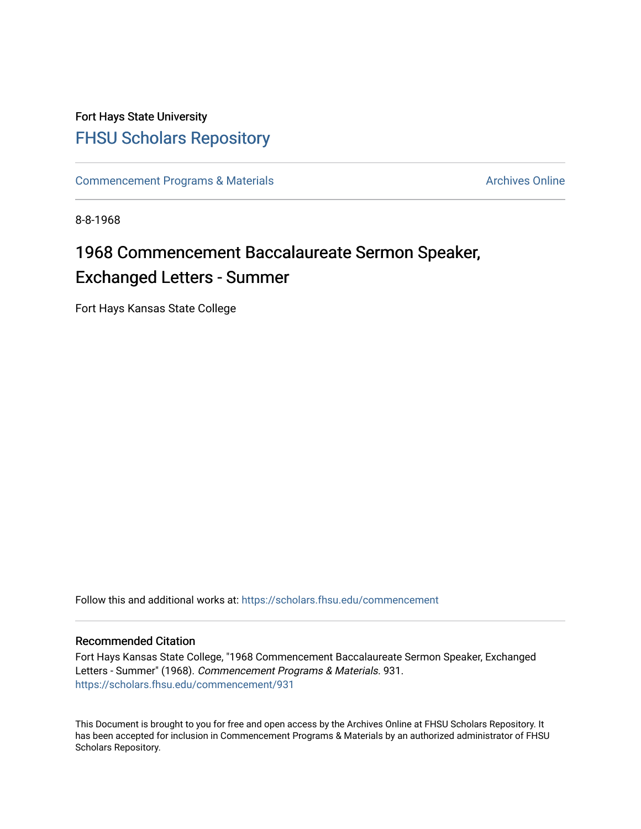# Fort Hays State University [FHSU Scholars Repository](https://scholars.fhsu.edu/)

[Commencement Programs & Materials](https://scholars.fhsu.edu/commencement) Archives Online

8-8-1968

# 1968 Commencement Baccalaureate Sermon Speaker, Exchanged Letters - Summer

Fort Hays Kansas State College

Follow this and additional works at: [https://scholars.fhsu.edu/commencement](https://scholars.fhsu.edu/commencement?utm_source=scholars.fhsu.edu%2Fcommencement%2F931&utm_medium=PDF&utm_campaign=PDFCoverPages)

#### Recommended Citation

Fort Hays Kansas State College, "1968 Commencement Baccalaureate Sermon Speaker, Exchanged Letters - Summer" (1968). Commencement Programs & Materials. 931. [https://scholars.fhsu.edu/commencement/931](https://scholars.fhsu.edu/commencement/931?utm_source=scholars.fhsu.edu%2Fcommencement%2F931&utm_medium=PDF&utm_campaign=PDFCoverPages)

This Document is brought to you for free and open access by the Archives Online at FHSU Scholars Repository. It has been accepted for inclusion in Commencement Programs & Materials by an authorized administrator of FHSU Scholars Repository.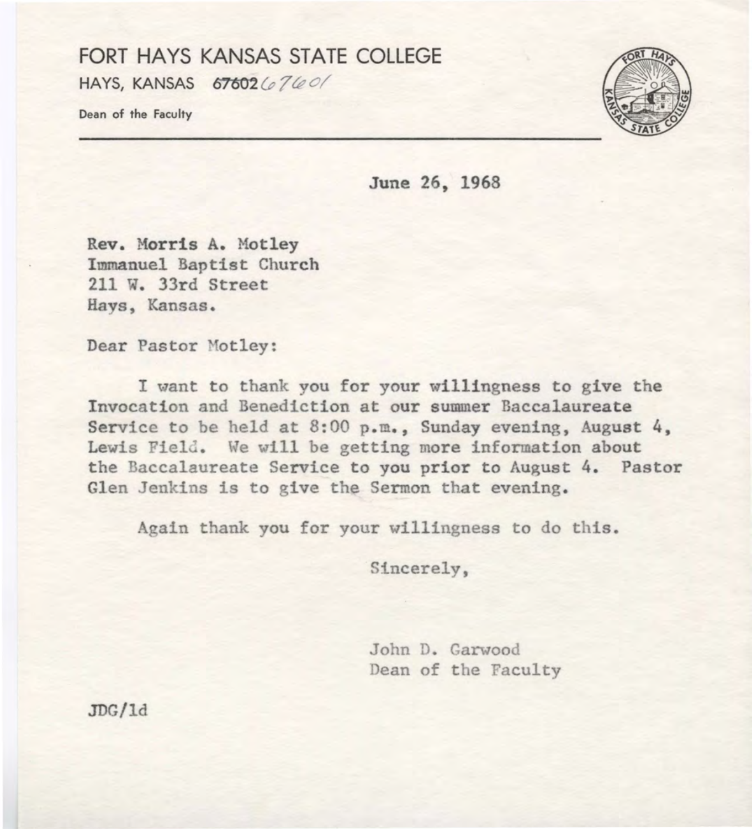### FORT HAYS KANSAS STATE COLLEGE HAYS, KANSAS 67602 (p 7 te o/

Dean of the Faculty



June 26, 1968

Rev. Morris A. Motley Immanuel Baptist Church 211 W. 33rd Street Hays, Kansas.

Dear Pastor Motley:

I want to thank you for your willingness to give the Invocation and Benediction at our summer Baccalaureate Service to be held at  $8:00$  p.m., Sunday evening, August 4, Lewis Field. We will be getting more information about the Baccalaureate Service to you prior to August 4. Pastor Glen Jenkins is to give the Sermon that evening.

Again thank you for your willingness to do this.

Sincerely,

John D. Garwood Dean of the Faculty

JDG/ld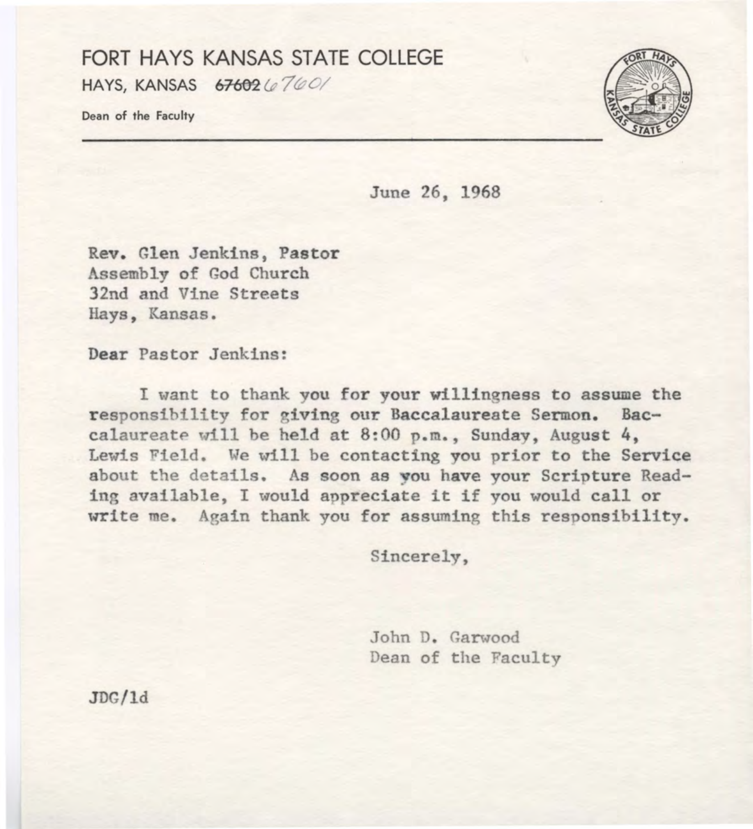#### FORT HAYS KANSAS STATE COLLEGE HAYS, KANSAS 67602 (e760/

Dean of the Faculty



June 26, 1968

Rev. Glen Jenkins, Pastor Assembly of God Church 32nd and Vine Streets Hays, Kansas.

Dear Pastor Jenkins:

I want to thank you for your willingness to assume the responsibility for giving our Baccalaureate Sermon. Baccalaureate will be held at  $8:00$  p.m., Sunday, August 4, Lewis Field. We will be contacting you prior to the Service about the details. As soon as you have your Scripture Reading available, I would appreciate it if you would call or write me. Again thank you for assuming this responsibility.

Sincerely,

John D. Garwood Dean of the Faculty

JDG/ld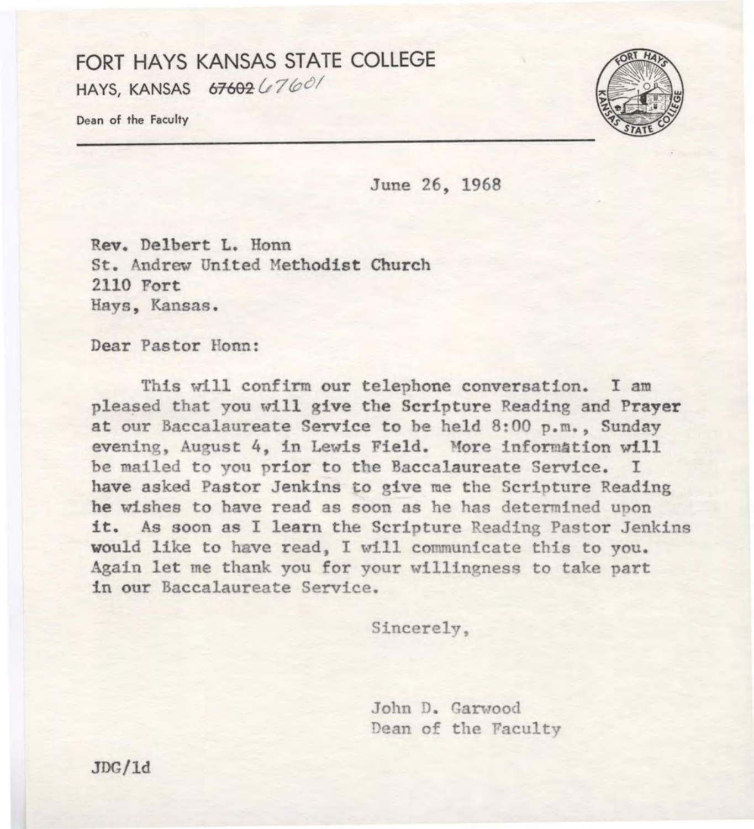## FORT HAYS KANSAS STATE COLLEGE HAYS, KANSAS  $67602(160)$

Dean of the Faculty



June 26, 1968

**Rev.** Delbert L. Honn St. Andrew United Methodist Church 2110 Fort Hays, Kansas.

Dear Pastor Honn:

This will confirm our telephone conversation. I am pleased that you will **give** the Scripture Reading and **Prayer**  at our Baccalaureate Service to be held 8:00 p.m., Sunday evening, August 4, in Lewis Field. More information will be mailed to you prior to the Baccalaureate Service. I have asked Pastor Jenkins to give me the Scripture Reading he wishes to have read as soon as he has determined upon it. As soon as I learn the Scripture Reading Pastor Jenkins would like to have read, I will communicate this to you. Again let me thank you for your willingness to take part in our Baccalaureate Service.

Sincerely,

John D. Garwood Dean of the Faculty